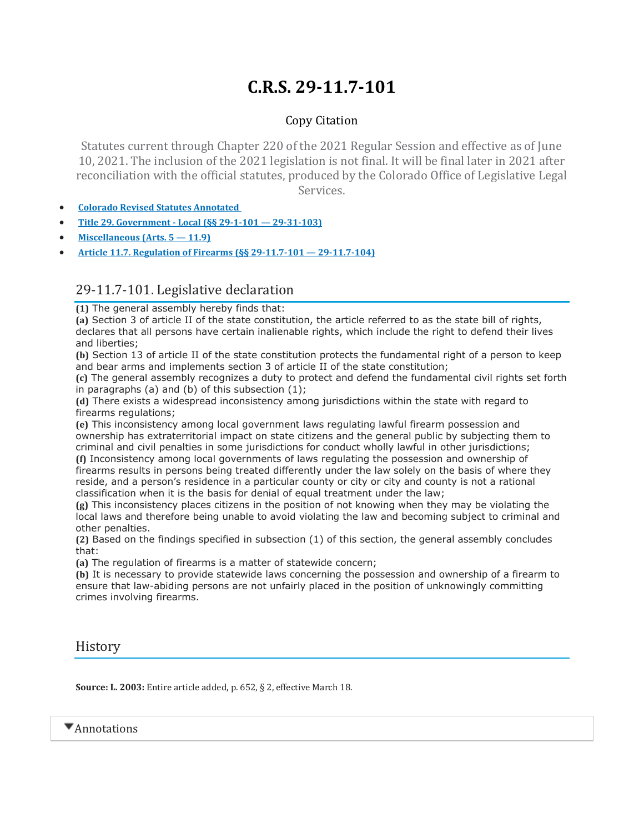## **C.R.S. 29-11.7-101**

## Copy Citation

Statutes current through Chapter 220 of the 2021 Regular Session and effective as of June 10, 2021. The inclusion of the 2021 legislation is not final. It will be final later in 2021 after reconciliation with the official statutes, produced by the Colorado Office of Legislative Legal Services.

- **Colorado Revised Statutes [Annotated](https://advance.lexis.com/documentpage/?pdmfid=1000516&crid=95e08ddf-3158-4a04-8124-51a7d55472a8&nodeid=ABEAADAAPAAB&nodepath=%2FROOT%2FABE%2FABEAAD%2FABEAADAAP%2FABEAADAAPAAB&level=4&haschildren=&populated=false&title=29-11.7-101.+Legislative+declaration&config=014FJAAyNGJkY2Y4Zi1mNjgyLTRkN2YtYmE4OS03NTYzNzYzOTg0OGEKAFBvZENhdGFsb2d592qv2Kywlf8caKqYROP5&pddocfullpath=%2Fshared%2Fdocument%2Fstatutes-legislation%2Furn%3AcontentItem%3A61P5-WWT1-DYDC-J15D-00008-00&ecomp=L38_9kk&prid=c2b0f1ee-7117-4c3e-b34f-2214b86f7d6c)**
- **Title 29. [Government](https://advance.lexis.com/documentpage/?pdmfid=1000516&crid=95e08ddf-3158-4a04-8124-51a7d55472a8&nodeid=ABEAADAAPAAB&nodepath=%2FROOT%2FABE%2FABEAAD%2FABEAADAAP%2FABEAADAAPAAB&level=4&haschildren=&populated=false&title=29-11.7-101.+Legislative+declaration&config=014FJAAyNGJkY2Y4Zi1mNjgyLTRkN2YtYmE4OS03NTYzNzYzOTg0OGEKAFBvZENhdGFsb2d592qv2Kywlf8caKqYROP5&pddocfullpath=%2Fshared%2Fdocument%2Fstatutes-legislation%2Furn%3AcontentItem%3A61P5-WWT1-DYDC-J15D-00008-00&ecomp=L38_9kk&prid=c2b0f1ee-7117-4c3e-b34f-2214b86f7d6c) - Local (§§ 29-1-101 — 29-31-103)**
- **[Miscellaneous](https://advance.lexis.com/documentpage/?pdmfid=1000516&crid=95e08ddf-3158-4a04-8124-51a7d55472a8&nodeid=ABEAADAAPAAB&nodepath=%2FROOT%2FABE%2FABEAAD%2FABEAADAAP%2FABEAADAAPAAB&level=4&haschildren=&populated=false&title=29-11.7-101.+Legislative+declaration&config=014FJAAyNGJkY2Y4Zi1mNjgyLTRkN2YtYmE4OS03NTYzNzYzOTg0OGEKAFBvZENhdGFsb2d592qv2Kywlf8caKqYROP5&pddocfullpath=%2Fshared%2Fdocument%2Fstatutes-legislation%2Furn%3AcontentItem%3A61P5-WWT1-DYDC-J15D-00008-00&ecomp=L38_9kk&prid=c2b0f1ee-7117-4c3e-b34f-2214b86f7d6c) (Arts. 5 — 11.9)**
- **Article 11.7. Regulation of Firearms (§§ 29-11.7-101 — [29-11.7-104\)](https://advance.lexis.com/documentpage/?pdmfid=1000516&crid=95e08ddf-3158-4a04-8124-51a7d55472a8&nodeid=ABEAADAAPAAB&nodepath=%2FROOT%2FABE%2FABEAAD%2FABEAADAAP%2FABEAADAAPAAB&level=4&haschildren=&populated=false&title=29-11.7-101.+Legislative+declaration&config=014FJAAyNGJkY2Y4Zi1mNjgyLTRkN2YtYmE4OS03NTYzNzYzOTg0OGEKAFBvZENhdGFsb2d592qv2Kywlf8caKqYROP5&pddocfullpath=%2Fshared%2Fdocument%2Fstatutes-legislation%2Furn%3AcontentItem%3A61P5-WWT1-DYDC-J15D-00008-00&ecomp=L38_9kk&prid=c2b0f1ee-7117-4c3e-b34f-2214b86f7d6c)**

## 29-11.7-101. Legislative declaration

**(1)** The general assembly hereby finds that:

**(a)** Section 3 of article II of the state constitution, the article referred to as the state bill of rights, declares that all persons have certain inalienable rights, which include the right to defend their lives and liberties;

**(b)** Section 13 of article II of the state constitution protects the fundamental right of a person to keep and bear arms and implements section 3 of article II of the state constitution;

**(c)** The general assembly recognizes a duty to protect and defend the fundamental civil rights set forth in paragraphs (a) and (b) of this subsection  $(1)$ ;

**(d)** There exists a widespread inconsistency among jurisdictions within the state with regard to firearms regulations;

**(e)** This inconsistency among local government laws regulating lawful firearm possession and ownership has extraterritorial impact on state citizens and the general public by subjecting them to criminal and civil penalties in some jurisdictions for conduct wholly lawful in other jurisdictions;

**(f)** Inconsistency among local governments of laws regulating the possession and ownership of firearms results in persons being treated differently under the law solely on the basis of where they reside, and a person's residence in a particular county or city or city and county is not a rational classification when it is the basis for denial of equal treatment under the law;

**(g)** This inconsistency places citizens in the position of not knowing when they may be violating the local laws and therefore being unable to avoid violating the law and becoming subject to criminal and other penalties.

**(2)** Based on the findings specified in subsection (1) of this section, the general assembly concludes that:

**(a)** The regulation of firearms is a matter of statewide concern;

**(b)** It is necessary to provide statewide laws concerning the possession and ownership of a firearm to ensure that law-abiding persons are not unfairly placed in the position of unknowingly committing crimes involving firearms.

**History** 

**Source: L. 2003:** Entire article added, p. 652, § 2, effective March 18.

 $\blacktriangledown$  Annotations